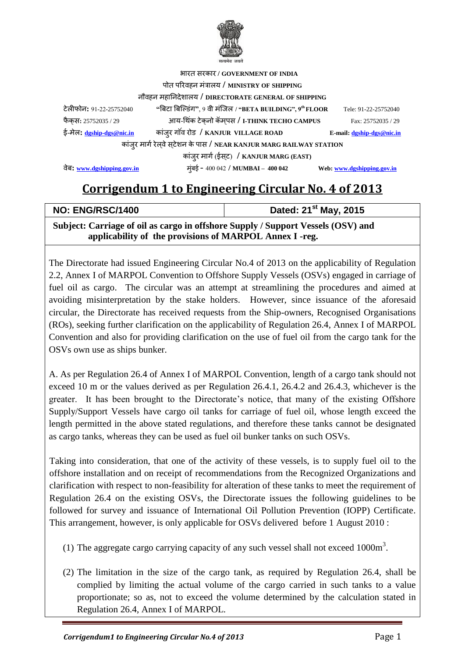

| भारत सरकार / GOVERNMENT OF INDIA                                     |                                                          |                             |  |
|----------------------------------------------------------------------|----------------------------------------------------------|-----------------------------|--|
| पोत परिवहन मंत्रालय / MINISTRY OF SHIPPING                           |                                                          |                             |  |
| नौवहन महानिदेशालय / DIRECTORATE GENERAL OF SHIPPING                  |                                                          |                             |  |
| टेलीफोन: 91-22-25752040                                              | "बिटा बिल्डिंग", 9 वी मंजिल / "BETA BUILDING", 9th FLOOR | Tele: 91-22-25752040        |  |
| फैक्स: 25752035 / 29                                                 | आय-थिंक टेकुनो कॅमपस / I-THINK TECHO CAMPUS              | Fax: 25752035 / 29          |  |
| ई-मेल: dgship-dgs@nic.in                                             | कांज़्र गॉव रोड / KANJUR VILLAGE ROAD                    | E-mail: $dgship-dgs@nic.in$ |  |
| कांजुर मार्ग रेल्वे स्टेशन के पास / NEAR KANJUR MARG RAILWAY STATION |                                                          |                             |  |
| कांज़्र मार्ग (ईस्ट) / KANJUR MARG (EAST)                            |                                                          |                             |  |
| वेब: www.dgshipping.gov.in                                           | मूंबई - 400 042 / MUMBAI - 400 042                       | Web: www.dgshipping.gov.in  |  |

## **Corrigendum 1 to Engineering Circular No. 4 of 2013**

| <b>NO: ENG/RSC/1400</b>                                                          | Dated: 21 <sup>st</sup> May, 2015 |  |  |
|----------------------------------------------------------------------------------|-----------------------------------|--|--|
| Subject: Carriage of oil as cargo in offshore Supply / Support Vessels (OSV) and |                                   |  |  |
| applicability of the provisions of MARPOL Annex I -reg.                          |                                   |  |  |

The Directorate had issued Engineering Circular No.4 of 2013 on the applicability of Regulation 2.2, Annex I of MARPOL Convention to Offshore Supply Vessels (OSVs) engaged in carriage of fuel oil as cargo. The circular was an attempt at streamlining the procedures and aimed at avoiding misinterpretation by the stake holders. However, since issuance of the aforesaid circular, the Directorate has received requests from the Ship-owners, Recognised Organisations (ROs), seeking further clarification on the applicability of Regulation 26.4, Annex I of MARPOL Convention and also for providing clarification on the use of fuel oil from the cargo tank for the OSVs own use as ships bunker.

A. As per Regulation 26.4 of Annex I of MARPOL Convention, length of a cargo tank should not exceed 10 m or the values derived as per Regulation 26.4.1, 26.4.2 and 26.4.3, whichever is the greater. It has been brought to the Directorate's notice, that many of the existing Offshore Supply/Support Vessels have cargo oil tanks for carriage of fuel oil, whose length exceed the length permitted in the above stated regulations, and therefore these tanks cannot be designated as cargo tanks, whereas they can be used as fuel oil bunker tanks on such OSVs.

Taking into consideration, that one of the activity of these vessels, is to supply fuel oil to the offshore installation and on receipt of recommendations from the Recognized Organizations and clarification with respect to non-feasibility for alteration of these tanks to meet the requirement of Regulation 26.4 on the existing OSVs, the Directorate issues the following guidelines to be followed for survey and issuance of International Oil Pollution Prevention (IOPP) Certificate. This arrangement, however, is only applicable for OSVs delivered before 1 August 2010 :

- (1) The aggregate cargo carrying capacity of any such vessel shall not exceed  $1000m<sup>3</sup>$ .
- (2) The limitation in the size of the cargo tank, as required by Regulation 26.4, shall be complied by limiting the actual volume of the cargo carried in such tanks to a value proportionate; so as, not to exceed the volume determined by the calculation stated in Regulation 26.4, Annex I of MARPOL.